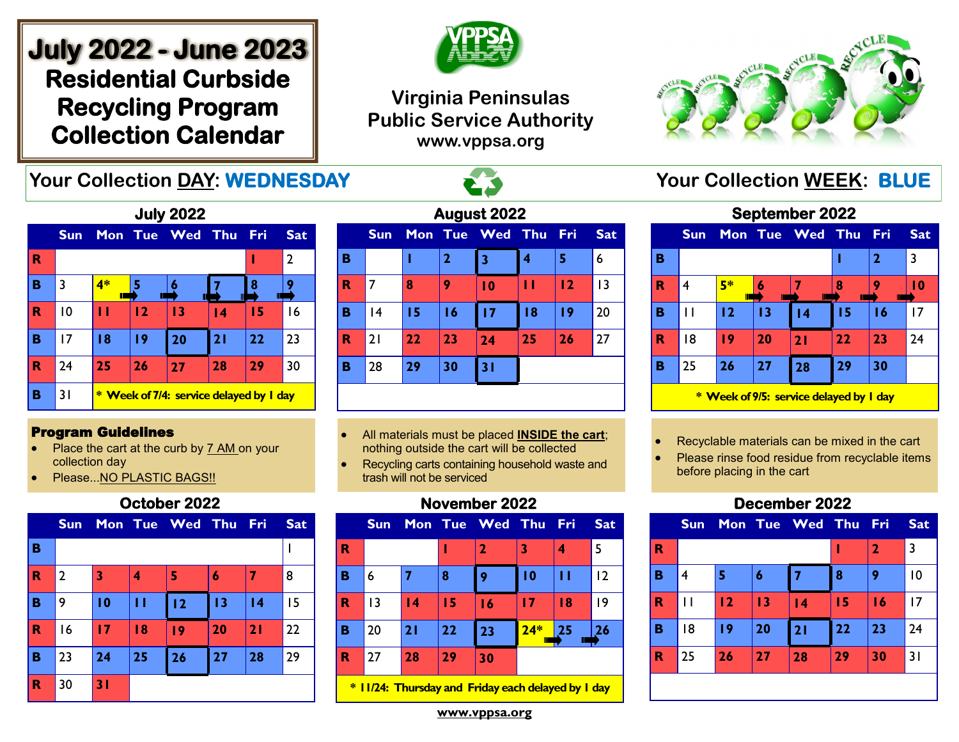# **July 2022 - June 2023 Residential Curbside Recycling Program Collection Calendar**



## **Virginia Peninsulas Public Service Authority www.vppsa.org**



# **Your Collection DAY: WEDNESDAY The Second Second Second Your Collection WEEK: BLUE**



#### Program Guidelines

- Place the cart at the curb by 7 AM on your collection day
- Please...NO PLASTIC BAGS!!

#### **October 2022**

|             | <b>Sun</b>     |    |    | Mon Tue Wed Thu Fri |    |    | <b>Sat</b> |
|-------------|----------------|----|----|---------------------|----|----|------------|
| B           |                |    |    |                     |    |    |            |
| $\mathbf R$ | $\overline{2}$ | 3  | 4  | 5                   | 6  |    | 8          |
| B           | 9              | 10 | П  | 12                  | 13 | 4  | 15         |
| $\mathbf R$ | 16             | 17 | 18 | 19                  | 20 | 21 | 22         |
| B           | 23             | 24 | 25 | 26                  | 27 | 28 | 29         |
| R           | 30             | 31 |    |                     |    |    |            |

| August 2022 |      |    |                |                 |     |     |            |  |  |  |  |  |
|-------------|------|----|----------------|-----------------|-----|-----|------------|--|--|--|--|--|
|             | Sun, |    |                | Mon Tue Wed     | Thu | Fri | <b>Sat</b> |  |  |  |  |  |
| в           |      |    | $\overline{2}$ | 3               | 4   | 5   | 6          |  |  |  |  |  |
| R           | 7    | 8  | 9              | $\overline{10}$ | п   | 12  | 13         |  |  |  |  |  |
| в           | 14   | 15 | 16             | 17              | 18  | 19  | 20         |  |  |  |  |  |
| R           | 21   | 22 | 23             | 24              | 25  | 26  | 27         |  |  |  |  |  |
| в           | 28   | 29 | 30             | 31              |     |     |            |  |  |  |  |  |
|             |      |    |                |                 |     |     |            |  |  |  |  |  |

- All materials must be placed **INSIDE the cart**; nothing outside the cart will be collected
- Recycling carts containing household waste and trash will not be serviced

#### **November 2022**

|             | <b>Sun</b> |                 |    | Mon Tue Wed Thu Fri |       |    | <b>Sat</b> |
|-------------|------------|-----------------|----|---------------------|-------|----|------------|
| $\mathbf R$ |            |                 |    | 2                   | 3     |    | 5          |
| B           | 6          |                 | 8  | 9                   | 10    | Н  | 12         |
| $\mathbf R$ | 3          | $\overline{14}$ | 15 | 16                  | 17    | 18 | 19         |
|             | 20         | 21              | 22 | 23                  | $24*$ | 25 | 26         |
| R           | 27         | 28              | 29 | 30                  |       |    |            |
| B           |            |                 |    |                     |       |    |            |

**\* 11/24: Thursday and Friday each delayed by 1 day**

**September 2022** 

|   | <b>Sun</b>                              |         |    | Mon Tue Wed Thu |    | - Fri        | <b>Sat</b> |  |  |  |
|---|-----------------------------------------|---------|----|-----------------|----|--------------|------------|--|--|--|
| в |                                         |         |    |                 |    | $\mathbf{2}$ | 3          |  |  |  |
| R | 4                                       | 5*<br>Π | Ш  |                 | 8  |              | l 0        |  |  |  |
| B | Н                                       | 12      | 13 | $\overline{14}$ | 15 | 16           | 17         |  |  |  |
| R | 18                                      | 19      | 20 | 21              | 22 | 23           | 24         |  |  |  |
| в | 25                                      | 26      | 27 | 28              | 29 | 30           |            |  |  |  |
|   | * Week of 9/5: service delayed by I day |         |    |                 |    |              |            |  |  |  |

• Recyclable materials can be mixed in the cart

Please rinse food residue from recyclable items before placing in the cart

#### **December 2022**



**www.vppsa.org**